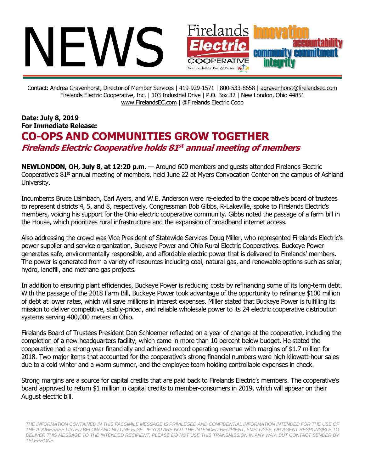

Contact: Andrea Gravenhorst, Director of Member Services | 419-929-1571 | 800-533-8658 | [agravenhorst@firelandsec.com](mailto:agravenhorst@firelandsec.com) Firelands Electric Cooperative, Inc. | 103 Industrial Drive | P.O. Box 32 | New London, Ohio 44851 [www.FirelandsEC.com](http://www.firelandsec.com/) | @Firelands Electric Coop

## **Date: July 8, 2019 For Immediate Release: CO-OPS AND COMMUNITIES GROW TOGETHER Firelands Electric Cooperative holds 81 st annual meeting of members**

**NEWLONDON, OH, July 8, at 12:20 p.m.** — Around 600 members and guests attended Firelands Electric Cooperative's  $81<sup>st</sup>$  annual meeting of members, held June 22 at Myers Convocation Center on the campus of Ashland University.

Incumbents Bruce Leimbach, Carl Ayers, and W.E. Anderson were re-elected to the cooperative's board of trustees to represent districts 4, 5, and 8, respectively. Congressman Bob Gibbs, R-Lakeville, spoke to Firelands Electric's members, voicing his support for the Ohio electric cooperative community. Gibbs noted the passage of a farm bill in the House, which prioritizes rural infrastructure and the expansion of broadband internet access.

Also addressing the crowd was Vice President of Statewide Services Doug Miller, who represented Firelands Electric's power supplier and service organization, Buckeye Power and Ohio Rural Electric Cooperatives. Buckeye Power generates safe, environmentally responsible, and affordable electric power that is delivered to Firelands' members. The power is generated from a variety of resources including coal, natural gas, and renewable options such as solar, hydro, landfill, and methane gas projects.

In addition to ensuring plant efficiencies, Buckeye Power is reducing costs by refinancing some of its long-term debt. With the passage of the 2018 Farm Bill, Buckeye Power took advantage of the opportunity to refinance \$100 million of debt at lower rates, which will save millions in interest expenses. Miller stated that Buckeye Power is fulfilling its mission to deliver competitive, stably-priced, and reliable wholesale power to its 24 electric cooperative distribution systems serving 400,000 meters in Ohio.

Firelands Board of Trustees President Dan Schloemer reflected on a year of change at the cooperative, including the completion of a new headquarters facility, which came in more than 10 percent below budget. He stated the cooperative had a strong year financially and achieved record operating revenue with margins of \$1.7 million for 2018. Two major items that accounted for the cooperative's strong financial numbers were high kilowatt-hour sales due to a cold winter and a warm summer, and the employee team holding controllable expenses in check.

Strong margins are a source for capital credits that are paid back to Firelands Electric's members. The cooperative's board approved to return \$1 million in capital credits to member-consumers in 2019, which will appear on their August electric bill.

THE INFORMATION CONTAINED IN THIS FACSIMILE MESSAGE IS PRIVILEGED AND CONFIDENTIAL INFORMATION INTENDED FOR THE USE OF *THE ADDRESSEE LISTED BELOW AND NO ONE ELSE. IF YOU ARE NOT THE INTENDED RECIPIENT, EMPLOYEE, OR AGENT RESPONSIBLE TO DELIVER THIS MESSAGE TO THE INTENDED RECIPIENT, PLEASE DO NOT USE THIS TRANSMISSION IN ANY WAY, BUT CONTACT SENDER BY TELEPHONE.*